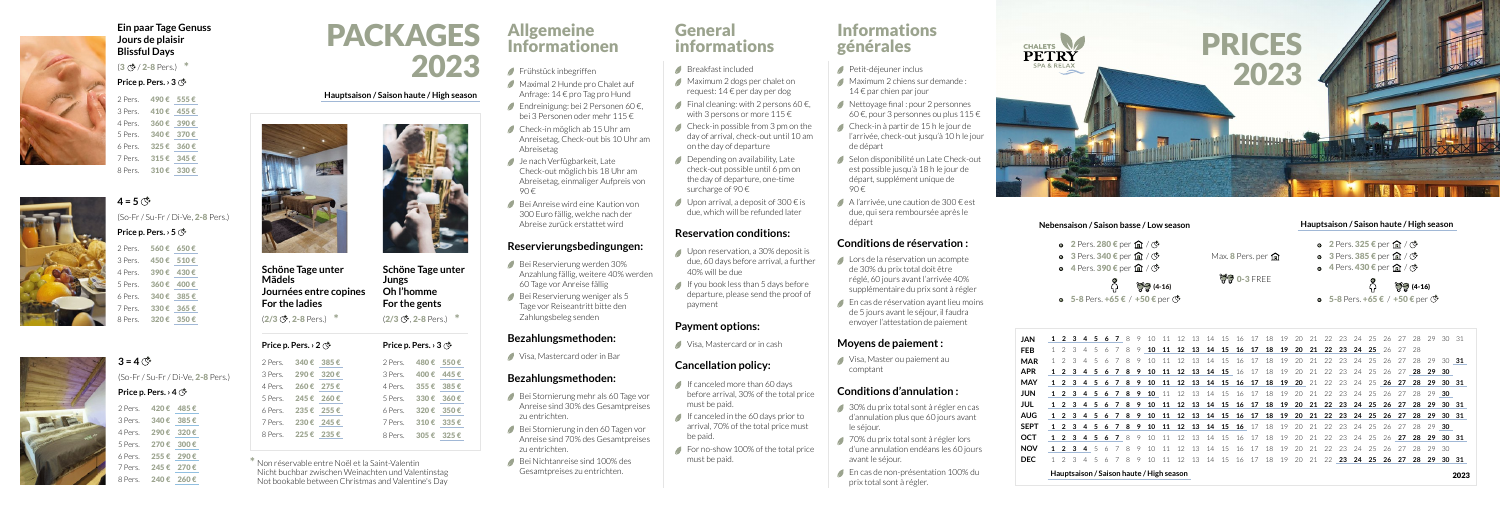

- $\circ$  2 Pers. 280 € per  $\hat{M}$  /  $\circled{S}$
- **3** Pers. 340 € per  $\hat{M}$  /  $\circled{S}$
- $\bullet$  4 Pers. 390 € per  $\hat{M}$  /  $\circled{S}$ 
	- റ്
- **5-8 Pers. +65 € / +50 € per**  $\mathfrak{S}$

**1 2 3 4 5 6 7** 8 9 10 11 12 13 14 15 16 17 18 19 20 21 22 23 24 25 26 27 28 29 30 31 **JAN** 1 2 3 4 5 6 7 8 9 **10 11 12 13 14 15 16 17 18 19 20 21 22 23 24 25** 26 27 28 1 2 3 4 5 6 7 8 9 10 11 12 13 14 15 16 17 18 19 20 21 22 23 24 25 26 27 28 29 30 **31 1 2 3 4 5 6 7 8 9 10 11 12 13 14 15** 16 17 18 19 20 21 22 23 24 25 26 27 **28 29 30** 1 2 3 4 5 6 7 8 9 10 11 12 13 14 15 16 17 18 19 20 21 22 23 24 25 26 27 28 29 30 31 **1 2 3 4 5 6 7 8 9 10** 11 12 13 14 15 16 17 18 19 20 21 22 23 24 25 26 27 28 29 **30** 1 2 3 4 5 6 7 8 9 10 11 12 13 14 15 16 17 18 19 20 21 22 23 24 25 26 27 28 29 30 31 AUG 1 2 3 4 5 6 7 8 9 10 11 12 13 14 15 16 17 18 19 20 21 22 23 24 25 26 27 28 29 30 31 **1 2 3 4 5 6 7 8 9 10 11 12 13 14 15 16** 17 18 19 20 21 22 23 24 25 26 27 28 29 **30 1 2 3 4 5 6 7** 8 9 10 11 12 13 14 15 16 17 18 19 20 21 22 23 24 25 26 **27 28 29 30 31 1 2 3 4** 5 6 7 8 9 10 11 12 13 14 15 16 17 18 19 20 21 22 23 24 25 26 27 28 29 30 **NOV** 1 2 3 4 5 6 7 8 9 10 11 12 13 14 15 16 17 18 19 20 21 22 **23 24 25 26 27 28 29 30 31 DEC FEB MAR APR MAY JUN JUL SEPT OCT**

Max. **8** Pers. per m

 $0 - 3$  FREE

**Price p. Pers. › 5** 2 Pers. 560 € 650 € 3 Pers. 450 € 510 € 4 Pers. 390 € 430 € 5 Pers. 360 € 400 € 6 Pers. 340 € 385 € 7 Pers. 330 € 365 € 8 Pers. 320 € 350 €

 $3 = 4$   $\circled{f}$ (So-Fr / Su-Fr / Di-Ve, 2-8 Pers.) **Price p. Pers. › 4** 2 Pers. 420 € 485 € 3 Pers. 340 € 385 € 4 Pers. 290 € 320 €

**Schöne Tage unter Mädels Journées entre copines For the ladies**  $(2/3 \circ 2-8$  Pers.) \*  $*$  (2/3  $\circled{S}$ , 2-8 Pers.)  $*$ 

**Hauptsaison / Saison haute / High season** 2023

### **Nebensaison / Saison basse / Low season Hauptsaison / Saison haute / High season**

- **○** 2 Pers. 325 € per  $\hat{m}$  /  $\circled{c}$
- **○** 3 Pers. 385 € per  $\hat{m}$  /  $\circ$
- $\bullet$  4 Pers. 430 € per  $\hat{m}$  /  $\circ$

## $\widetilde{G}$  (4-16)  $\widetilde{G}$  (4-16)

**■ 5-8 Pers. +65 € / +50 € per (Š)** 

2 Pers. 480 € 550 € 3 Pers. 400 € 445 € 4 Pers. 355 € 385 € 5 Pers. 330 € 360 € 6 Pers. 320 € 350 € 7 Pers. 310 € 335 € 8 Pers. 305 € 325 €





**Ein paar Tage Genuss Jours de plaisir Blissful Days**

 $(3 \circ 2 - 8$  Pers.)  $*$ 

PACKAGES 2023 **Hauptsaison / Saison haute / High season** 2 Pers. 490 € 555 €

### **Price p. Pers. › 3**

3 Pers. 410 € 455 € 4 Pers. 360 € 390 € 5 Pers. 340 € 370 € 6 Pers. 325 € 360 € 7 Pers. 315 € 345 € 8 Pers. 310 € 330 €

 $4 = 5$   $\circ$ 



- Bei Reservierung werden 30% Anzahlung fällig, weitere 40% werden 60 Tage vor Anreise fällig
- Bei Reservierung weniger als 5 Tage vor Reiseantritt bitte den Zahlungsbeleg senden

(So-Fr / Su-Fr / Di-Ve, 2-8 Pers.)



- Bei Stornierung mehr als 60 Tage vor Anreise sind 30% des Gesamtpreises zu entrichten.
- Bei Stornierung in den 60 Tagen vor Anreise sind 70% des Gesamtpreises zu entrichten.
- Bei Nichtanreise sind 100% des Gesamtpreises zu entrichten.

5 Pers. 270 € 300 € 6 Pers. 255 € 290 € 7 Pers. 245 € 270 €

240 € 260 €

- Breakfast included
- Maximum 2 dogs per chalet on request: 14 € per day per dog
- Final cleaning: with 2 persons 60 $\epsilon$ ,
- with 3 persons or more  $115 \in$  $\triangle$  Check-in possible from 3 pm on the day of arrival, check-out until 10 am on the day of departure
- Depending on availability, Late check-out possible until 6 pm on the day of departure, one-time surcharge of 90 $\epsilon$
- Upon arrival, a deposit of 300  $\epsilon$  is due, which will be refunded later

- Upon reservation, a 30% deposit is due, 60 days before arrival, a further 40% will be due
- If you book less than 5 days before departure, please send the proof of payment

**Schöne Tage unter** 

**Jungs**

**Oh l'homme For the gents**

**Price p. Pers. › 3**

| Price p. Pers. $\cdot$ 2 $\circledcirc$ |           |           |
|-----------------------------------------|-----------|-----------|
| 2 Pers.                                 |           | 340€ 385€ |
| 3 Pers. 290€ 320€                       |           |           |
| 4 Pers. 260 € 275 €                     |           |           |
| 5 Pers. 245 € 260 €                     |           |           |
| 6 Pers.                                 | 235€ 255€ |           |
| 7 Pers.                                 | 230€ 245€ |           |
| 8 Pers.                                 | 225€ 235€ |           |

- If canceled more than  $60$  days before arrival, 30% of the total price must be paid.
- If canceled in the 60 days prior to arrival, 70% of the total price must be paid.
- For no-show 100% of the total price must be paid.

- 
- 
- 

- 
- 
- **Informations** générales
- Petit-déjeuner inclus
- Maximum 2 chiens sur demande : 14 € par chien par jour
- Nettoyage final : pour 2 personnes 60 €, pour 3 personnes ou plus  $115 \in$
- Check-in à partir de 15 h le jour de l'arrivée, check-out jusqu'à 10 h le jour de départ
- Selon disponibilité un Late Check-out est possible jusqu'à 18 h le jour de départ, supplément unique de 90 €
- A l'arrivée, une caution de 300 € est due, qui sera remboursée après le départ

\* Non réservable entre Noël et la Saint-Valentin Nicht buchbar zwischen Weinachten und Valentinstag Not bookable between Christmas and Valentine's Day

- Lors de la réservation un acompte de 30% du prix total doit être réglé, 60 jours avant l'arrivée 40% supplémentaire du prix sont à régler
- En cas de réservation ayant lieu moins de 5 jours avant le séjour, il faudra envoyer l'attestation de paiement

## Allgemeine Informationen

- 30% du prix total sont à régler en cas d'annulation plus que 60 jours avant le séjour.
- 70% du prix total sont à régler lors d'une annulation endéans les 60 jours avant le séjour.
- En cas de non-présentation 100% du prix total sont à régler.
- Frühstück inbegriffen
- Maximal 2 Hunde pro Chalet auf Anfrage: 14 € pro Tag pro Hund
- Endreinigung: bei 2 Personen 60 €, bei 3 Personen oder mehr 115 €
- Check-in möglich ab 15 Uhr am Anreisetag, Check-out bis 10 Uhr am Abreisetag
- Je nach Verfügbarkeit, Late Check-out möglich bis 18 Uhr am Abreisetag, einmaliger Aufpreis von 90 €
- Bei Anreise wird eine Kaution von 300 Euro fällig, welche nach der Abreise zurück erstattet wird

## **Reservierungsbedingungen:**

### **Bezahlungsmethoden:**

Visa, Mastercard oder in Bar

## **Bezahlungsmethoden:**

## General informations

## **Reservation conditions:**

## **Payment options:**

Visa, Mastercard or in cash

## **Cancellation policy:**

## **Conditions de réservation :**

### **Moyens de paiement :**

Visa, Master ou paiement au comptant

### **Conditions d'annulation :**